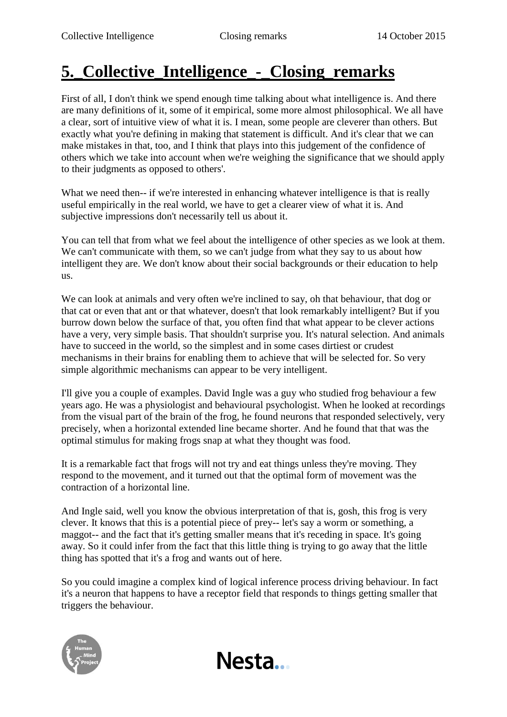## **5.\_Collective\_Intelligence\_-\_Closing\_remarks**

First of all, I don't think we spend enough time talking about what intelligence is. And there are many definitions of it, some of it empirical, some more almost philosophical. We all have a clear, sort of intuitive view of what it is. I mean, some people are cleverer than others. But exactly what you're defining in making that statement is difficult. And it's clear that we can make mistakes in that, too, and I think that plays into this judgement of the confidence of others which we take into account when we're weighing the significance that we should apply to their judgments as opposed to others'.

What we need then-- if we're interested in enhancing whatever intelligence is that is really useful empirically in the real world, we have to get a clearer view of what it is. And subjective impressions don't necessarily tell us about it.

You can tell that from what we feel about the intelligence of other species as we look at them. We can't communicate with them, so we can't judge from what they say to us about how intelligent they are. We don't know about their social backgrounds or their education to help us.

We can look at animals and very often we're inclined to say, oh that behaviour, that dog or that cat or even that ant or that whatever, doesn't that look remarkably intelligent? But if you burrow down below the surface of that, you often find that what appear to be clever actions have a very, very simple basis. That shouldn't surprise you. It's natural selection. And animals have to succeed in the world, so the simplest and in some cases dirtiest or crudest mechanisms in their brains for enabling them to achieve that will be selected for. So very simple algorithmic mechanisms can appear to be very intelligent.

I'll give you a couple of examples. David Ingle was a guy who studied frog behaviour a few years ago. He was a physiologist and behavioural psychologist. When he looked at recordings from the visual part of the brain of the frog, he found neurons that responded selectively, very precisely, when a horizontal extended line became shorter. And he found that that was the optimal stimulus for making frogs snap at what they thought was food.

It is a remarkable fact that frogs will not try and eat things unless they're moving. They respond to the movement, and it turned out that the optimal form of movement was the contraction of a horizontal line.

And Ingle said, well you know the obvious interpretation of that is, gosh, this frog is very clever. It knows that this is a potential piece of prey-- let's say a worm or something, a maggot-- and the fact that it's getting smaller means that it's receding in space. It's going away. So it could infer from the fact that this little thing is trying to go away that the little thing has spotted that it's a frog and wants out of here.

So you could imagine a complex kind of logical inference process driving behaviour. In fact it's a neuron that happens to have a receptor field that responds to things getting smaller that triggers the behaviour.

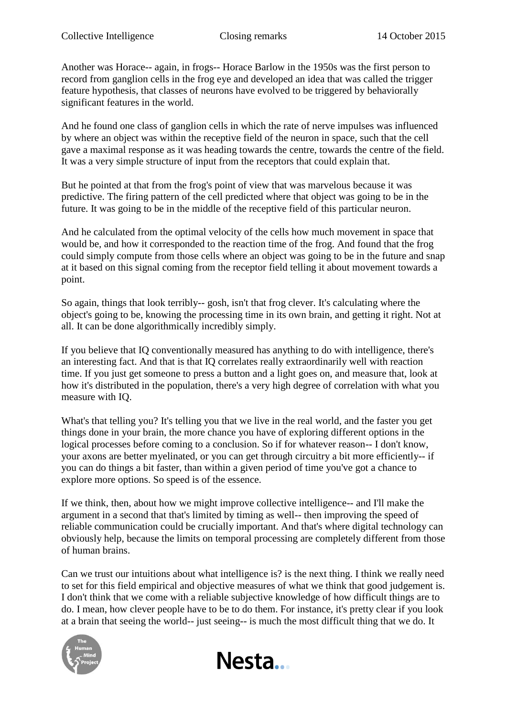Another was Horace-- again, in frogs-- Horace Barlow in the 1950s was the first person to record from ganglion cells in the frog eye and developed an idea that was called the trigger feature hypothesis, that classes of neurons have evolved to be triggered by behaviorally significant features in the world.

And he found one class of ganglion cells in which the rate of nerve impulses was influenced by where an object was within the receptive field of the neuron in space, such that the cell gave a maximal response as it was heading towards the centre, towards the centre of the field. It was a very simple structure of input from the receptors that could explain that.

But he pointed at that from the frog's point of view that was marvelous because it was predictive. The firing pattern of the cell predicted where that object was going to be in the future. It was going to be in the middle of the receptive field of this particular neuron.

And he calculated from the optimal velocity of the cells how much movement in space that would be, and how it corresponded to the reaction time of the frog. And found that the frog could simply compute from those cells where an object was going to be in the future and snap at it based on this signal coming from the receptor field telling it about movement towards a point.

So again, things that look terribly-- gosh, isn't that frog clever. It's calculating where the object's going to be, knowing the processing time in its own brain, and getting it right. Not at all. It can be done algorithmically incredibly simply.

If you believe that IQ conventionally measured has anything to do with intelligence, there's an interesting fact. And that is that IQ correlates really extraordinarily well with reaction time. If you just get someone to press a button and a light goes on, and measure that, look at how it's distributed in the population, there's a very high degree of correlation with what you measure with IQ.

What's that telling you? It's telling you that we live in the real world, and the faster you get things done in your brain, the more chance you have of exploring different options in the logical processes before coming to a conclusion. So if for whatever reason-- I don't know, your axons are better myelinated, or you can get through circuitry a bit more efficiently-- if you can do things a bit faster, than within a given period of time you've got a chance to explore more options. So speed is of the essence.

If we think, then, about how we might improve collective intelligence-- and I'll make the argument in a second that that's limited by timing as well-- then improving the speed of reliable communication could be crucially important. And that's where digital technology can obviously help, because the limits on temporal processing are completely different from those of human brains.

Can we trust our intuitions about what intelligence is? is the next thing. I think we really need to set for this field empirical and objective measures of what we think that good judgement is. I don't think that we come with a reliable subjective knowledge of how difficult things are to do. I mean, how clever people have to be to do them. For instance, it's pretty clear if you look at a brain that seeing the world-- just seeing-- is much the most difficult thing that we do. It



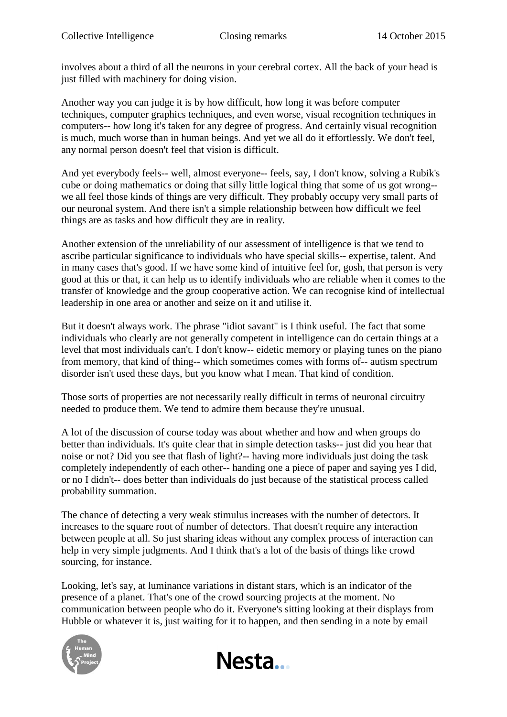involves about a third of all the neurons in your cerebral cortex. All the back of your head is just filled with machinery for doing vision.

Another way you can judge it is by how difficult, how long it was before computer techniques, computer graphics techniques, and even worse, visual recognition techniques in computers-- how long it's taken for any degree of progress. And certainly visual recognition is much, much worse than in human beings. And yet we all do it effortlessly. We don't feel, any normal person doesn't feel that vision is difficult.

And yet everybody feels-- well, almost everyone-- feels, say, I don't know, solving a Rubik's cube or doing mathematics or doing that silly little logical thing that some of us got wrong- we all feel those kinds of things are very difficult. They probably occupy very small parts of our neuronal system. And there isn't a simple relationship between how difficult we feel things are as tasks and how difficult they are in reality.

Another extension of the unreliability of our assessment of intelligence is that we tend to ascribe particular significance to individuals who have special skills-- expertise, talent. And in many cases that's good. If we have some kind of intuitive feel for, gosh, that person is very good at this or that, it can help us to identify individuals who are reliable when it comes to the transfer of knowledge and the group cooperative action. We can recognise kind of intellectual leadership in one area or another and seize on it and utilise it.

But it doesn't always work. The phrase "idiot savant" is I think useful. The fact that some individuals who clearly are not generally competent in intelligence can do certain things at a level that most individuals can't. I don't know-- eidetic memory or playing tunes on the piano from memory, that kind of thing-- which sometimes comes with forms of-- autism spectrum disorder isn't used these days, but you know what I mean. That kind of condition.

Those sorts of properties are not necessarily really difficult in terms of neuronal circuitry needed to produce them. We tend to admire them because they're unusual.

A lot of the discussion of course today was about whether and how and when groups do better than individuals. It's quite clear that in simple detection tasks-- just did you hear that noise or not? Did you see that flash of light?-- having more individuals just doing the task completely independently of each other-- handing one a piece of paper and saying yes I did, or no I didn't-- does better than individuals do just because of the statistical process called probability summation.

The chance of detecting a very weak stimulus increases with the number of detectors. It increases to the square root of number of detectors. That doesn't require any interaction between people at all. So just sharing ideas without any complex process of interaction can help in very simple judgments. And I think that's a lot of the basis of things like crowd sourcing, for instance.

Looking, let's say, at luminance variations in distant stars, which is an indicator of the presence of a planet. That's one of the crowd sourcing projects at the moment. No communication between people who do it. Everyone's sitting looking at their displays from Hubble or whatever it is, just waiting for it to happen, and then sending in a note by email



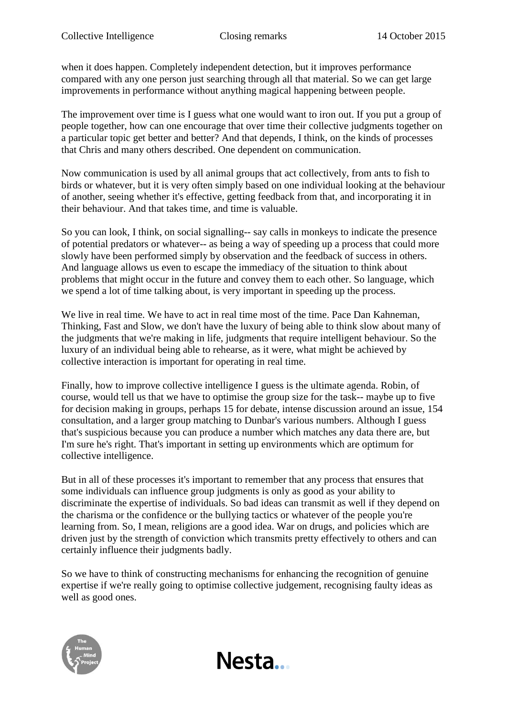when it does happen. Completely independent detection, but it improves performance compared with any one person just searching through all that material. So we can get large improvements in performance without anything magical happening between people.

The improvement over time is I guess what one would want to iron out. If you put a group of people together, how can one encourage that over time their collective judgments together on a particular topic get better and better? And that depends, I think, on the kinds of processes that Chris and many others described. One dependent on communication.

Now communication is used by all animal groups that act collectively, from ants to fish to birds or whatever, but it is very often simply based on one individual looking at the behaviour of another, seeing whether it's effective, getting feedback from that, and incorporating it in their behaviour. And that takes time, and time is valuable.

So you can look, I think, on social signalling-- say calls in monkeys to indicate the presence of potential predators or whatever-- as being a way of speeding up a process that could more slowly have been performed simply by observation and the feedback of success in others. And language allows us even to escape the immediacy of the situation to think about problems that might occur in the future and convey them to each other. So language, which we spend a lot of time talking about, is very important in speeding up the process.

We live in real time. We have to act in real time most of the time. Pace Dan Kahneman, Thinking, Fast and Slow, we don't have the luxury of being able to think slow about many of the judgments that we're making in life, judgments that require intelligent behaviour. So the luxury of an individual being able to rehearse, as it were, what might be achieved by collective interaction is important for operating in real time.

Finally, how to improve collective intelligence I guess is the ultimate agenda. Robin, of course, would tell us that we have to optimise the group size for the task-- maybe up to five for decision making in groups, perhaps 15 for debate, intense discussion around an issue, 154 consultation, and a larger group matching to Dunbar's various numbers. Although I guess that's suspicious because you can produce a number which matches any data there are, but I'm sure he's right. That's important in setting up environments which are optimum for collective intelligence.

But in all of these processes it's important to remember that any process that ensures that some individuals can influence group judgments is only as good as your ability to discriminate the expertise of individuals. So bad ideas can transmit as well if they depend on the charisma or the confidence or the bullying tactics or whatever of the people you're learning from. So, I mean, religions are a good idea. War on drugs, and policies which are driven just by the strength of conviction which transmits pretty effectively to others and can certainly influence their judgments badly.

So we have to think of constructing mechanisms for enhancing the recognition of genuine expertise if we're really going to optimise collective judgement, recognising faulty ideas as well as good ones.

Nesta...

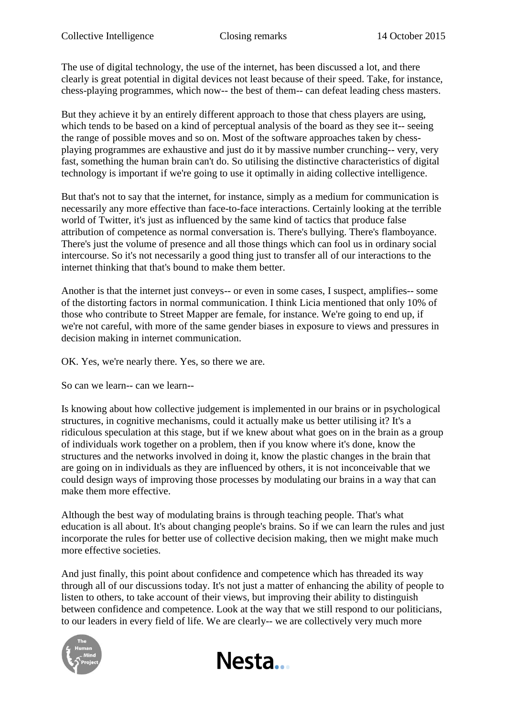The use of digital technology, the use of the internet, has been discussed a lot, and there clearly is great potential in digital devices not least because of their speed. Take, for instance, chess-playing programmes, which now-- the best of them-- can defeat leading chess masters.

But they achieve it by an entirely different approach to those that chess players are using, which tends to be based on a kind of perceptual analysis of the board as they see it-- seeing the range of possible moves and so on. Most of the software approaches taken by chessplaying programmes are exhaustive and just do it by massive number crunching-- very, very fast, something the human brain can't do. So utilising the distinctive characteristics of digital technology is important if we're going to use it optimally in aiding collective intelligence.

But that's not to say that the internet, for instance, simply as a medium for communication is necessarily any more effective than face-to-face interactions. Certainly looking at the terrible world of Twitter, it's just as influenced by the same kind of tactics that produce false attribution of competence as normal conversation is. There's bullying. There's flamboyance. There's just the volume of presence and all those things which can fool us in ordinary social intercourse. So it's not necessarily a good thing just to transfer all of our interactions to the internet thinking that that's bound to make them better.

Another is that the internet just conveys-- or even in some cases, I suspect, amplifies-- some of the distorting factors in normal communication. I think Licia mentioned that only 10% of those who contribute to Street Mapper are female, for instance. We're going to end up, if we're not careful, with more of the same gender biases in exposure to views and pressures in decision making in internet communication.

OK. Yes, we're nearly there. Yes, so there we are.

So can we learn-- can we learn--

Is knowing about how collective judgement is implemented in our brains or in psychological structures, in cognitive mechanisms, could it actually make us better utilising it? It's a ridiculous speculation at this stage, but if we knew about what goes on in the brain as a group of individuals work together on a problem, then if you know where it's done, know the structures and the networks involved in doing it, know the plastic changes in the brain that are going on in individuals as they are influenced by others, it is not inconceivable that we could design ways of improving those processes by modulating our brains in a way that can make them more effective.

Although the best way of modulating brains is through teaching people. That's what education is all about. It's about changing people's brains. So if we can learn the rules and just incorporate the rules for better use of collective decision making, then we might make much more effective societies.

And just finally, this point about confidence and competence which has threaded its way through all of our discussions today. It's not just a matter of enhancing the ability of people to listen to others, to take account of their views, but improving their ability to distinguish between confidence and competence. Look at the way that we still respond to our politicians, to our leaders in every field of life. We are clearly-- we are collectively very much more